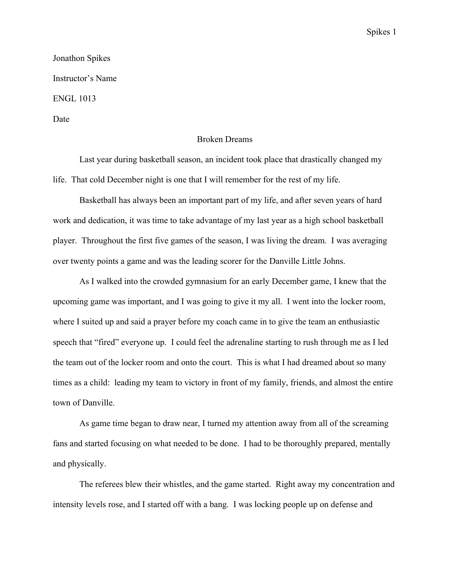## Spikes 1

## Jonathon Spikes Instructor's Name ENGL 1013 Date

## Broken Dreams

Last year during basketball season, an incident took place that drastically changed my life. That cold December night is one that I will remember for the rest of my life.

Basketball has always been an important part of my life, and after seven years of hard work and dedication, it was time to take advantage of my last year as a high school basketball player. Throughout the first five games of the season, I was living the dream. I was averaging over twenty points a game and was the leading scorer for the Danville Little Johns.

As I walked into the crowded gymnasium for an early December game, I knew that the upcoming game was important, and I was going to give it my all. I went into the locker room, where I suited up and said a prayer before my coach came in to give the team an enthusiastic speech that "fired" everyone up. I could feel the adrenaline starting to rush through me as I led the team out of the locker room and onto the court. This is what I had dreamed about so many times as a child: leading my team to victory in front of my family, friends, and almost the entire town of Danville.

As game time began to draw near, I turned my attention away from all of the screaming fans and started focusing on what needed to be done. I had to be thoroughly prepared, mentally and physically.

The referees blew their whistles, and the game started. Right away my concentration and intensity levels rose, and I started off with a bang. I was locking people up on defense and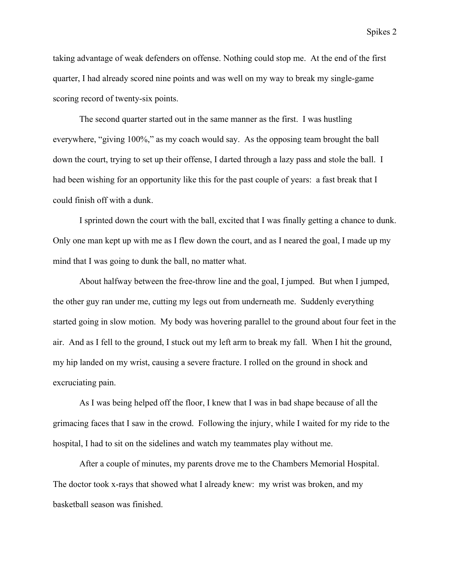taking advantage of weak defenders on offense. Nothing could stop me. At the end of the first quarter, I had already scored nine points and was well on my way to break my single-game scoring record of twenty-six points.

The second quarter started out in the same manner as the first. I was hustling everywhere, "giving 100%," as my coach would say. As the opposing team brought the ball down the court, trying to set up their offense, I darted through a lazy pass and stole the ball. I had been wishing for an opportunity like this for the past couple of years: a fast break that I could finish off with a dunk.

I sprinted down the court with the ball, excited that I was finally getting a chance to dunk. Only one man kept up with me as I flew down the court, and as I neared the goal, I made up my mind that I was going to dunk the ball, no matter what.

About halfway between the free-throw line and the goal, I jumped. But when I jumped, the other guy ran under me, cutting my legs out from underneath me. Suddenly everything started going in slow motion. My body was hovering parallel to the ground about four feet in the air. And as I fell to the ground, I stuck out my left arm to break my fall. When I hit the ground, my hip landed on my wrist, causing a severe fracture. I rolled on the ground in shock and excruciating pain.

As I was being helped off the floor, I knew that I was in bad shape because of all the grimacing faces that I saw in the crowd. Following the injury, while I waited for my ride to the hospital, I had to sit on the sidelines and watch my teammates play without me.

After a couple of minutes, my parents drove me to the Chambers Memorial Hospital. The doctor took x-rays that showed what I already knew: my wrist was broken, and my basketball season was finished.